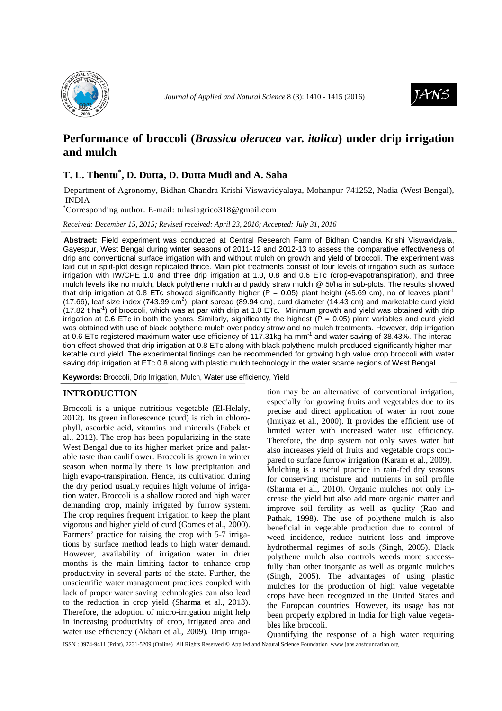



# **Performance of broccoli (***Brassica oleracea* **var.** *italica***) under drip irrigation and mulch**

## **T. L. Thentu\* , D. Dutta, D. Dutta Mudi and A. Saha**

Department of Agronomy, Bidhan Chandra Krishi Viswavidyalaya, Mohanpur-741252, Nadia (West Bengal), INDIA

\*Corresponding author. E-mail: tulasiagrico318@gmail.com

*Received: December 15, 2015; Revised received: April 23, 2016; Accepted: July 31, 2016*

**Abstract:** Field experiment was conducted at Central Research Farm of Bidhan Chandra Krishi Viswavidyala, Gayespur, West Bengal during winter seasons of 2011-12 and 2012-13 to assess the comparative effectiveness of drip and conventional surface irrigation with and without mulch on growth and yield of broccoli. The experiment was laid out in split-plot design replicated thrice. Main plot treatments consist of four levels of irrigation such as surface irrigation with IW/CPE 1.0 and three drip irrigation at 1.0, 0.8 and 0.6 ETc (crop-evapotranspiration), and three mulch levels like no mulch, black polythene mulch and paddy straw mulch @ 5t/ha in sub-plots. The results showed that drip irrigation at 0.8 ETc showed significantly higher (P = 0.05) plant height (45.69 cm), no of leaves plant<sup>1</sup> (17.66), leaf size index (743.99 cm<sup>2</sup>), plant spread (89.94 cm), curd diameter (14.43 cm) and marketable curd yield  $(17.82 \text{ t} \text{ ha}^{-1})$  of broccoli, which was at par with drip at 1.0 ETc. Minimum growth and yield was obtained with drip irrigation at 0.6 ETc in both the years. Similarly, significantly the highest ( $\overline{P}$  = 0.05) plant variables and curd yield was obtained with use of black polythene mulch over paddy straw and no mulch treatments. However, drip irrigation at 0.6 ETc registered maximum water use efficiency of 117.31kg ha-mm-1 and water saving of 38.43%. The interaction effect showed that drip irrigation at 0.8 ETc along with black polythene mulch produced significantly higher marketable curd yield. The experimental findings can be recommended for growing high value crop broccoli with water saving drip irrigation at ETc 0.8 along with plastic mulch technology in the water scarce regions of West Bengal.

**Keywords:** Broccoli, Drip Irrigation, Mulch, Water use efficiency, Yield

## **INTRODUCTION**

Broccoli is a unique nutritious vegetable (El-Helaly, 2012). Its green inflorescence (curd) is rich in chlorophyll, ascorbic acid, vitamins and minerals (Fabek et al., 2012). The crop has been popularizing in the state West Bengal due to its higher market price and palatable taste than cauliflower. Broccoli is grown in winter season when normally there is low precipitation and high evapo-transpiration. Hence, its cultivation during the dry period usually requires high volume of irrigation water. Broccoli is a shallow rooted and high water demanding crop, mainly irrigated by furrow system. The crop requires frequent irrigation to keep the plant vigorous and higher yield of curd (Gomes et al., 2000). Farmers' practice for raising the crop with 5-7 irrigations by surface method leads to high water demand. However, availability of irrigation water in drier months is the main limiting factor to enhance crop productivity in several parts of the state. Further, the unscientific water management practices coupled with lack of proper water saving technologies can also lead to the reduction in crop yield (Sharma et al., 2013). Therefore, the adoption of micro-irrigation might help in increasing productivity of crop, irrigated area and water use efficiency (Akbari et al., 2009). Drip irriga-

tion may be an alternative of conventional irrigation, especially for growing fruits and vegetables due to its precise and direct application of water in root zone (Imtiyaz et al., 2000). It provides the efficient use of limited water with increased water use efficiency. Therefore, the drip system not only saves water but also increases yield of fruits and vegetable crops compared to surface furrow irrigation (Karam et al., 2009). Mulching is a useful practice in rain-fed dry seasons for conserving moisture and nutrients in soil profile (Sharma et al., 2010). Organic mulches not only increase the yield but also add more organic matter and improve soil fertility as well as quality (Rao and Pathak, 1998). The use of polythene mulch is also beneficial in vegetable production due to control of weed incidence, reduce nutrient loss and improve hydrothermal regimes of soils (Singh, 2005). Black polythene mulch also controls weeds more successfully than other inorganic as well as organic mulches (Singh, 2005). The advantages of using plastic mulches for the production of high value vegetable crops have been recognized in the United States and the European countries. However, its usage has not been properly explored in India for high value vegetables like broccoli.

Quantifying the response of a high water requiring

ISSN : 0974-9411 (Print), 2231-5209 (Online) All Rights Reserved © Applied and Natural Science Foundation www.jans.ansfoundation.org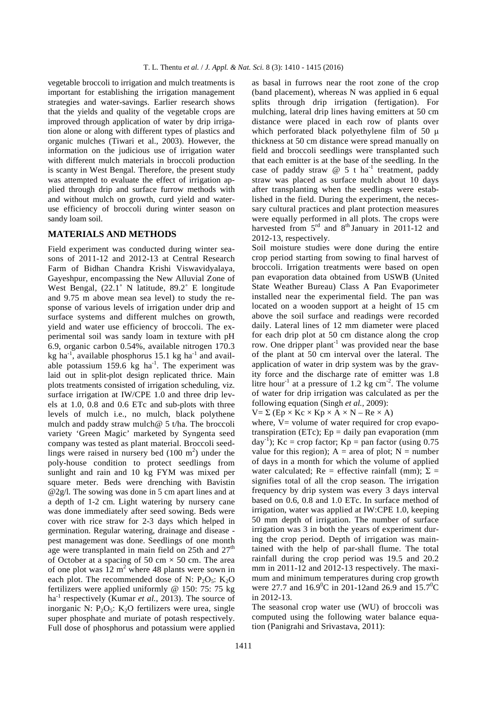vegetable broccoli to irrigation and mulch treatments is important for establishing the irrigation management strategies and water-savings. Earlier research shows that the yields and quality of the vegetable crops are improved through application of water by drip irrigation alone or along with different types of plastics and organic mulches (Tiwari et al., 2003). However, the information on the judicious use of irrigation water with different mulch materials in broccoli production is scanty in West Bengal. Therefore, the present study was attempted to evaluate the effect of irrigation applied through drip and surface furrow methods with and without mulch on growth, curd yield and wateruse efficiency of broccoli during winter season on sandy loam soil.

## **MATERIALS AND METHODS**

Field experiment was conducted during winter seasons of 2011-12 and 2012-13 at Central Research Farm of Bidhan Chandra Krishi Viswavidyalaya, Gayeshpur, encompassing the New Alluvial Zone of West Bengal, (22.1˚ N latitude, 89.2˚ E longitude and 9.75 m above mean sea level) to study the response of various levels of irrigation under drip and surface systems and different mulches on growth, yield and water use efficiency of broccoli. The experimental soil was sandy loam in texture with pH 6.9, organic carbon 0.54%, available nitrogen 170.3 kg ha<sup>-1</sup>, available phosphorus 15.1 kg ha<sup>-1</sup> and available potassium  $159.6$  kg ha<sup>-1</sup>. The experiment was laid out in split-plot design replicated thrice. Main plots treatments consisted of irrigation scheduling, viz. surface irrigation at IW/CPE 1.0 and three drip levels at 1.0, 0.8 and 0.6 ETc and sub-plots with three levels of mulch i.e., no mulch, black polythene mulch and paddy straw mulch@ 5 t/ha. The broccoli variety 'Green Magic' marketed by Syngenta seed company was tested as plant material. Broccoli seedlings were raised in nursery bed  $(100 \text{ m}^2)$  under the poly-house condition to protect seedlings from sunlight and rain and 10 kg FYM was mixed per square meter. Beds were drenching with Bavistin @2g/l. The sowing was done in 5 cm apart lines and at a depth of 1-2 cm. Light watering by nursery cane was done immediately after seed sowing. Beds were cover with rice straw for 2-3 days which helped in germination. Regular watering, drainage and disease pest management was done. Seedlings of one month age were transplanted in main field on 25th and  $27<sup>th</sup>$ of October at a spacing of 50 cm  $\times$  50 cm. The area of one plot was  $12 \text{ m}^2$  where 48 plants were sown in each plot. The recommended dose of N:  $P_2O_5$ :  $K_2O$ fertilizers were applied uniformly @ 150: 75: 75 kg ha<sup>-1</sup> respectively (Kumar et al., 2013). The source of inorganic N:  $P_2O_5$ : K<sub>2</sub>O fertilizers were urea, single super phosphate and muriate of potash respectively. Full dose of phosphorus and potassium were applied

as basal in furrows near the root zone of the crop (band placement), whereas N was applied in 6 equal splits through drip irrigation (fertigation). For mulching, lateral drip lines having emitters at 50 cm distance were placed in each row of plants over which perforated black polyethylene film of 50  $\mu$ thickness at 50 cm distance were spread manually on field and broccoli seedlings were transplanted such that each emitter is at the base of the seedling. In the case of paddy straw  $@ 5 t ha^{-1}$  treatment, paddy straw was placed as surface mulch about 10 days after transplanting when the seedlings were established in the field. During the experiment, the necessary cultural practices and plant protection measures were equally performed in all plots. The crops were harvested from 5<sup>rd</sup> and 8<sup>th</sup> January in 2011-12 and 2012-13, respectively.

Soil moisture studies were done during the entire crop period starting from sowing to final harvest of broccoli. Irrigation treatments were based on open pan evaporation data obtained from USWB (United State Weather Bureau) Class A Pan Evaporimeter installed near the experimental field. The pan was located on a wooden support at a height of 15 cm above the soil surface and readings were recorded daily. Lateral lines of 12 mm diameter were placed for each drip plot at 50 cm distance along the crop row. One dripper plant<sup>-1</sup> was provided near the base of the plant at 50 cm interval over the lateral. The application of water in drip system was by the gravity force and the discharge rate of emitter was 1.8 litre hour<sup>-1</sup> at a pressure of 1.2 kg cm<sup>-2</sup>. The volume of water for drip irrigation was calculated as per the following equation (Singh *et al.,* 2009):

 $V = \Sigma (Ep \times Kc \times Kp \times A \times N - Re \times A)$ 

where,  $V =$  volume of water required for crop evapotranspiration (ETc);  $Ep = \text{daily pan evaporation (mm)}$  $day^{-1}$ ); Kc = crop factor; Kp = pan factor (using 0.75 value for this region);  $A = area of plot$ ;  $N = number$ of days in a month for which the volume of applied water calculated; Re = effective rainfall (mm);  $\Sigma$  = signifies total of all the crop season. The irrigation frequency by drip system was every 3 days interval based on 0.6, 0.8 and 1.0 ETc. In surface method of irrigation, water was applied at IW:CPE 1.0, keeping 50 mm depth of irrigation. The number of surface irrigation was 3 in both the years of experiment during the crop period. Depth of irrigation was maintained with the help of par-shall flume. The total rainfall during the crop period was 19.5 and 20.2 mm in 2011-12 and 2012-13 respectively. The maximum and minimum temperatures during crop growth were 27.7 and  $16.9^{\circ}$ C in 201-12and 26.9 and 15.7<sup>o</sup>C in 2012-13.

The seasonal crop water use (WU) of broccoli was computed using the following water balance equation (Panigrahi and Srivastava, 2011):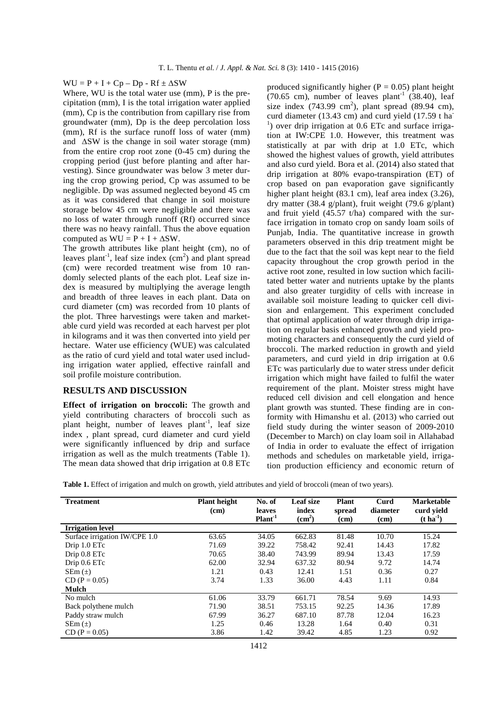#### WU =  $P + I + Cp - Dp - Rf \pm \Delta SW$

Where, WU is the total water use (mm), P is the precipitation (mm), I is the total irrigation water applied (mm), Cp is the contribution from capillary rise from groundwater (mm), Dp is the deep percolation loss (mm), Rf is the surface runoff loss of water (mm) and ∆SW is the change in soil water storage (mm) from the entire crop root zone (0-45 cm) during the cropping period (just before planting and after harvesting). Since groundwater was below 3 meter during the crop growing period, Cp was assumed to be negligible. Dp was assumed neglected beyond 45 cm as it was considered that change in soil moisture storage below 45 cm were negligible and there was no loss of water through runoff (Rf) occurred since there was no heavy rainfall. Thus the above equation computed as  $WU = P + I + \Delta SW$ .

The growth attributes like plant height (cm), no of leaves plant<sup>-1</sup>, leaf size index  $(cm<sup>2</sup>)$  and plant spread (cm) were recorded treatment wise from 10 randomly selected plants of the each plot. Leaf size index is measured by multiplying the average length and breadth of three leaves in each plant. Data on curd diameter (cm) was recorded from 10 plants of the plot. Three harvestings were taken and marketable curd yield was recorded at each harvest per plot in kilograms and it was then converted into yield per hectare. Water use efficiency (WUE) was calculated as the ratio of curd yield and total water used including irrigation water applied, effective rainfall and soil profile moisture contribution.

#### **RESULTS AND DISCUSSION**

**Effect of irrigation on broccoli:** The growth and yield contributing characters of broccoli such as plant height, number of leaves plant<sup>-1</sup>, leaf size index , plant spread, curd diameter and curd yield were significantly influenced by drip and surface irrigation as well as the mulch treatments (Table 1). The mean data showed that drip irrigation at 0.8 ETc produced significantly higher ( $P = 0.05$ ) plant height (70.65 cm), number of leaves plant<sup>-1</sup> (38.40), leaf size index  $(743.99 \text{ cm}^2)$ , plant spread  $(89.94 \text{ cm})$ , curd diameter (13.43 cm) and curd yield (17.59 t ha- $<sup>1</sup>$ ) over drip irrigation at 0.6 ETc and surface irriga-</sup> tion at IW:CPE 1.0. However, this treatment was statistically at par with drip at 1.0 ETc, which showed the highest values of growth, yield attributes and also curd yield. Bora et al. (2014) also stated that drip irrigation at 80% evapo-transpiration (ET) of crop based on pan evaporation gave significantly higher plant height (83.1 cm), leaf area index (3.26), dry matter (38.4 g/plant), fruit weight (79.6 g/plant) and fruit yield (45.57 t/ha) compared with the surface irrigation in tomato crop on sandy loam soils of Punjab, India. The quantitative increase in growth parameters observed in this drip treatment might be due to the fact that the soil was kept near to the field capacity throughout the crop growth period in the active root zone, resulted in low suction which facilitated better water and nutrients uptake by the plants and also greater turgidity of cells with increase in available soil moisture leading to quicker cell division and enlargement. This experiment concluded that optimal application of water through drip irrigation on regular basis enhanced growth and yield promoting characters and consequently the curd yield of broccoli. The marked reduction in growth and yield parameters, and curd yield in drip irrigation at 0.6 ETc was particularly due to water stress under deficit irrigation which might have failed to fulfil the water requirement of the plant. Moister stress might have reduced cell division and cell elongation and hence plant growth was stunted. These finding are in conformity with Himanshu et al. (2013) who carried out field study during the winter season of 2009-2010 (December to March) on clay loam soil in Allahabad of India in order to evaluate the effect of irrigation methods and schedules on marketable yield, irrigation production efficiency and economic return of

**Table 1.** Effect of irrigation and mulch on growth, yield attributes and yield of broccoli (mean of two years).

| <b>Treatment</b>              | <b>Plant height</b><br>(cm) | No. of<br>leaves<br>$Plant-1$ | Leaf size<br>index<br>$\rm \left( cm^2 \right)$ | <b>Plant</b><br>spread<br>(cm) | Curd<br>diameter<br>(cm) | <b>Marketable</b><br>curd yield<br>$(t \, ha^{-1})$ |
|-------------------------------|-----------------------------|-------------------------------|-------------------------------------------------|--------------------------------|--------------------------|-----------------------------------------------------|
| <b>Irrigation</b> level       |                             |                               |                                                 |                                |                          |                                                     |
| Surface irrigation IW/CPE 1.0 | 63.65                       | 34.05                         | 662.83                                          | 81.48                          | 10.70                    | 15.24                                               |
| Drip 1.0 ETc                  | 71.69                       | 39.22                         | 758.42                                          | 92.41                          | 14.43                    | 17.82                                               |
| Drip 0.8 ETc                  | 70.65                       | 38.40                         | 743.99                                          | 89.94                          | 13.43                    | 17.59                                               |
| Drip 0.6 ETc                  | 62.00                       | 32.94                         | 637.32                                          | 80.94                          | 9.72                     | 14.74                                               |
| $SEM(\pm)$                    | 1.21                        | 0.43                          | 12.41                                           | 1.51                           | 0.36                     | 0.27                                                |
| $CD (P = 0.05)$               | 3.74                        | 1.33                          | 36.00                                           | 4.43                           | 1.11                     | 0.84                                                |
| <b>Mulch</b>                  |                             |                               |                                                 |                                |                          |                                                     |
| No mulch                      | 61.06                       | 33.79                         | 661.71                                          | 78.54                          | 9.69                     | 14.93                                               |
| Back polythene mulch          | 71.90                       | 38.51                         | 753.15                                          | 92.25                          | 14.36                    | 17.89                                               |
| Paddy straw mulch             | 67.99                       | 36.27                         | 687.10                                          | 87.78                          | 12.04                    | 16.23                                               |
| $SEm(\pm)$                    | 1.25                        | 0.46                          | 13.28                                           | 1.64                           | 0.40                     | 0.31                                                |
| $CD (P = 0.05)$               | 3.86                        | 1.42                          | 39.42                                           | 4.85                           | 1.23                     | 0.92                                                |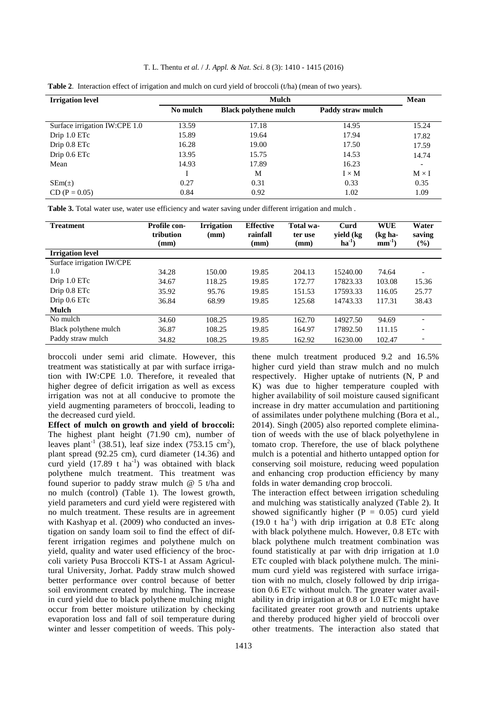#### T. L. Thentu *et al.* / *J. Appl. & Nat. Sci.* 8 (3): 1410 - 1415 (2016)

| <b>Irrigation level</b>       |          | Mean                         |                   |              |
|-------------------------------|----------|------------------------------|-------------------|--------------|
|                               | No mulch | <b>Black polythene mulch</b> | Paddy straw mulch |              |
| Surface irrigation IW:CPE 1.0 | 13.59    | 17.18                        | 14.95             | 15.24        |
| Drip 1.0 ETc                  | 15.89    | 19.64                        | 17.94             | 17.82        |
| Drip 0.8 ETc                  | 16.28    | 19.00                        | 17.50             | 17.59        |
| Drip 0.6 ETc                  | 13.95    | 15.75                        | 14.53             | 14.74        |
| Mean                          | 14.93    | 17.89                        | 16.23             |              |
|                               |          | M                            | $I \times M$      | $M \times I$ |
| $SEm(\pm)$                    | 0.27     | 0.31                         | 0.33              | 0.35         |
| $CD (P = 0.05)$               | 0.84     | 0.92                         | 1.02              | 1.09         |

**Table 2**. Interaction effect of irrigation and mulch on curd yield of broccoli (t/ha) (mean of two years).

**Table 3.** Total water use, water use efficiency and water saving under different irrigation and mulch .

| <b>Treatment</b>          | Profile con-<br>tribution<br>(mm) | <b>Irrigation</b><br>$(\mathbf{mm})$ | <b>Effective</b><br>rainfall<br>(mm) | Total wa-<br>ter use<br>(mm) | Curd<br>yield (kg<br>$ha^{-1}$ | <b>WUE</b><br>$(kg ha-$<br>$mm^{-1}$ ) | Water<br>saving<br>$(\%)$ |
|---------------------------|-----------------------------------|--------------------------------------|--------------------------------------|------------------------------|--------------------------------|----------------------------------------|---------------------------|
| <b>Irrigation level</b>   |                                   |                                      |                                      |                              |                                |                                        |                           |
| Surface irrigation IW/CPE |                                   |                                      |                                      |                              |                                |                                        |                           |
| 1.0                       | 34.28                             | 150.00                               | 19.85                                | 204.13                       | 15240.00                       | 74.64                                  |                           |
| Drip 1.0 ETc              | 34.67                             | 118.25                               | 19.85                                | 172.77                       | 17823.33                       | 103.08                                 | 15.36                     |
| Drip 0.8 ETc              | 35.92                             | 95.76                                | 19.85                                | 151.53                       | 17593.33                       | 116.05                                 | 25.77                     |
| Drip 0.6 ETc              | 36.84                             | 68.99                                | 19.85                                | 125.68                       | 14743.33                       | 117.31                                 | 38.43                     |
| <b>Mulch</b>              |                                   |                                      |                                      |                              |                                |                                        |                           |
| No mulch                  | 34.60                             | 108.25                               | 19.85                                | 162.70                       | 14927.50                       | 94.69                                  |                           |
| Black polythene mulch     | 36.87                             | 108.25                               | 19.85                                | 164.97                       | 17892.50                       | 111.15                                 | -                         |
| Paddy straw mulch         | 34.82                             | 108.25                               | 19.85                                | 162.92                       | 16230.00                       | 102.47                                 |                           |

broccoli under semi arid climate. However, this treatment was statistically at par with surface irrigation with IW:CPE 1.0. Therefore, it revealed that higher degree of deficit irrigation as well as excess irrigation was not at all conducive to promote the yield augmenting parameters of broccoli, leading to the decreased curd yield.

**Effect of mulch on growth and yield of broccoli:**  The highest plant height (71.90 cm), number of leaves plant<sup>-1</sup> (38.51), leaf size index (753.15 cm<sup>2</sup>), plant spread (92.25 cm), curd diameter (14.36) and curd yield  $(17.89 \text{ t} \text{ ha}^{-1})$  was obtained with black polythene mulch treatment. This treatment was found superior to paddy straw mulch @ 5 t/ha and no mulch (control) (Table 1). The lowest growth, yield parameters and curd yield were registered with no mulch treatment. These results are in agreement with Kashyap et al. (2009) who conducted an investigation on sandy loam soil to find the effect of different irrigation regimes and polythene mulch on yield, quality and water used efficiency of the broccoli variety Pusa Broccoli KTS-1 at Assam Agricultural University, Jorhat. Paddy straw mulch showed better performance over control because of better soil environment created by mulching. The increase in curd yield due to black polythene mulching might occur from better moisture utilization by checking evaporation loss and fall of soil temperature during winter and lesser competition of weeds. This poly-

thene mulch treatment produced 9.2 and 16.5% higher curd yield than straw mulch and no mulch respectively. Higher uptake of nutrients (N, P and K) was due to higher temperature coupled with higher availability of soil moisture caused significant increase in dry matter accumulation and partitioning of assimilates under polythene mulching (Bora et al., 2014). Singh (2005) also reported complete elimination of weeds with the use of black polyethylene in tomato crop. Therefore, the use of black polythene mulch is a potential and hitherto untapped option for conserving soil moisture, reducing weed population and enhancing crop production efficiency by many folds in water demanding crop broccoli.

The interaction effect between irrigation scheduling and mulching was statistically analyzed (Table 2). It showed significantly higher ( $P = 0.05$ ) curd yield  $(19.0 \text{ t} \text{ ha}^{-1})$  with drip irrigation at 0.8 ETc along with black polythene mulch. However, 0.8 ETc with black polythene mulch treatment combination was found statistically at par with drip irrigation at 1.0 ETc coupled with black polythene mulch. The minimum curd yield was registered with surface irrigation with no mulch, closely followed by drip irrigation 0.6 ETc without mulch. The greater water availability in drip irrigation at 0.8 or 1.0 ETc might have facilitated greater root growth and nutrients uptake and thereby produced higher yield of broccoli over other treatments. The interaction also stated that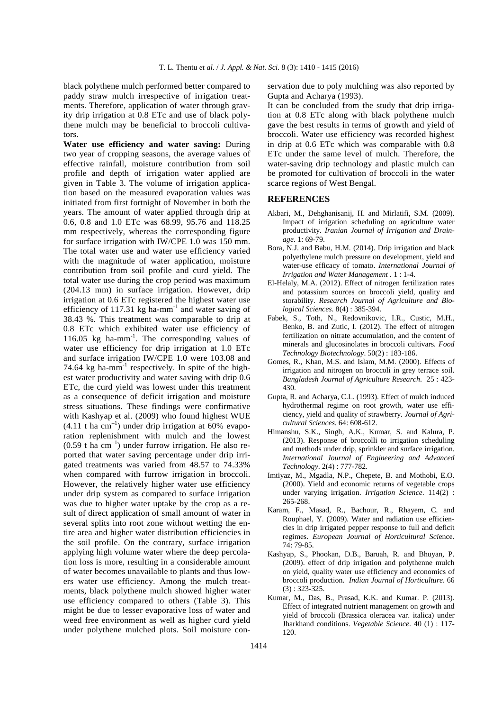black polythene mulch performed better compared to paddy straw mulch irrespective of irrigation treatments. Therefore, application of water through gravity drip irrigation at 0.8 ETc and use of black polythene mulch may be beneficial to broccoli cultivators.

**Water use efficiency and water saving:** During two year of cropping seasons, the average values of effective rainfall, moisture contribution from soil profile and depth of irrigation water applied are given in Table 3. The volume of irrigation application based on the measured evaporation values was initiated from first fortnight of November in both the years. The amount of water applied through drip at 0.6, 0.8 and 1.0 ETc was 68.99, 95.76 and 118.25 mm respectively, whereas the corresponding figure for surface irrigation with IW/CPE 1.0 was 150 mm. The total water use and water use efficiency varied with the magnitude of water application, moisture contribution from soil profile and curd yield. The total water use during the crop period was maximum (204.13 mm) in surface irrigation. However, drip irrigation at 0.6 ETc registered the highest water use efficiency of  $117.31$  kg ha-mm<sup>-1</sup> and water saving of 38.43 %. This treatment was comparable to drip at 0.8 ETc which exhibited water use efficiency of 116.05 kg ha-mm<sup>-1</sup>. The corresponding values of water use efficiency for drip irrigation at 1.0 ETc and surface irrigation IW/CPE 1.0 were 103.08 and 74.64 kg ha-mm<sup>-1</sup> respectively. In spite of the highest water productivity and water saving with drip 0.6 ETc, the curd yield was lowest under this treatment as a consequence of deficit irrigation and moisture stress situations. These findings were confirmative with Kashyap et al. (2009) who found highest WUE  $(4.11 \text{ t} \text{ ha cm}^{-1})$  under drip irrigation at 60% evaporation replenishment with mulch and the lowest  $(0.59$  t ha cm<sup>-1</sup>) under furrow irrigation. He also reported that water saving percentage under drip irrigated treatments was varied from 48.57 to 74.33% when compared with furrow irrigation in broccoli. However, the relatively higher water use efficiency under drip system as compared to surface irrigation was due to higher water uptake by the crop as a result of direct application of small amount of water in several splits into root zone without wetting the entire area and higher water distribution efficiencies in the soil profile. On the contrary, surface irrigation applying high volume water where the deep percolation loss is more, resulting in a considerable amount of water becomes unavailable to plants and thus lowers water use efficiency. Among the mulch treatments, black polythene mulch showed higher water use efficiency compared to others (Table 3). This might be due to lesser evaporative loss of water and weed free environment as well as higher curd yield under polythene mulched plots. Soil moisture conservation due to poly mulching was also reported by Gupta and Acharya (1993).

It can be concluded from the study that drip irrigation at 0.8 ETc along with black polythene mulch gave the best results in terms of growth and yield of broccoli. Water use efficiency was recorded highest in drip at 0.6 ETc which was comparable with 0.8 ETc under the same level of mulch. Therefore, the water-saving drip technology and plastic mulch can be promoted for cultivation of broccoli in the water scarce regions of West Bengal.

#### **REFERENCES**

- Akbari, M., Dehghanisanij, H. and Mirlatifi, S.M. (2009). Impact of irrigation scheduling on agriculture water productivity. *Iranian Journal of Irrigation and Drainage*. 1: 69-79.
- Bora, N.J. and Babu, H.M. (2014). Drip irrigation and black polyethylene mulch pressure on development, yield and water-use efficacy of tomato. *International Journal of Irrigation and Water Management .* 1 : 1-4.
- El-Helaly, M.A. (2012). Effect of nitrogen fertilization rates and potassium sources on broccoli yield, quality and storability. *Research Journal of Agriculture and Biological Sciences*. 8(4) : 385-394.
- Fabek, S., Toth, N., Redovnikovic, I.R., Custic, M.H., Benko, B. and Zutic, I. (2012). The effect of nitrogen fertilization on nitrate accumulation, and the content of minerals and glucosinolates in broccoli cultivars. *Food Technology Biotechnology*. 50(2) : 183-186.
- Gomes, R., Khan, M.S. and Islam, M.M. (2000). Effects of irrigation and nitrogen on broccoli in grey terrace soil. *Bangladesh Journal of Agriculture Research*. 25 : 423- 430.
- Gupta, R. and Acharya, C.L. (1993). Effect of mulch induced hydrothermal regime on root growth, water use efficiency, yield and quality of strawberry. *Journal of Agricultural Sciences*. 64: 608-612.
- Himanshu, S.K., Singh, A.K., Kumar, S. and Kalura, P. (2013). Response of broccolli to irrigation scheduling and methods under drip, sprinkler and surface irrigation. *International Journal of Engineering and Advanced Technology*. 2(4) : 777-782.
- Imtiyaz, M., Mgadla, N.P., Chepete, B. and Mothobi, E.O. (2000). Yield and economic returns of vegetable crops under varying irrigation. *Irrigation Science*. 114(2) : 265-268.
- Karam, F., Masad, R., Bachour, R., Rhayem, C. and Rouphael, Y. (2009). Water and radiation use efficiencies in drip irrigated pepper response to full and deficit regimes. *European Journal of Horticultural Sci*ence. 74: 79-85.
- Kashyap, S., Phookan, D.B., Baruah, R. and Bhuyan, P. (2009). effect of drip irrigation and polythenne mulch on yield, quality water use efficiency and economics of broccoli production. *Indian Journal of Horticulture*. 66 (3) : 323-325.
- Kumar, M., Das, B., Prasad, K.K. and Kumar. P. (2013). Effect of integrated nutrient management on growth and yield of broccoli (Brassica oleracea var. italica) under Jharkhand conditions. *Vegetable Science*. 40 (1) : 117- 120.